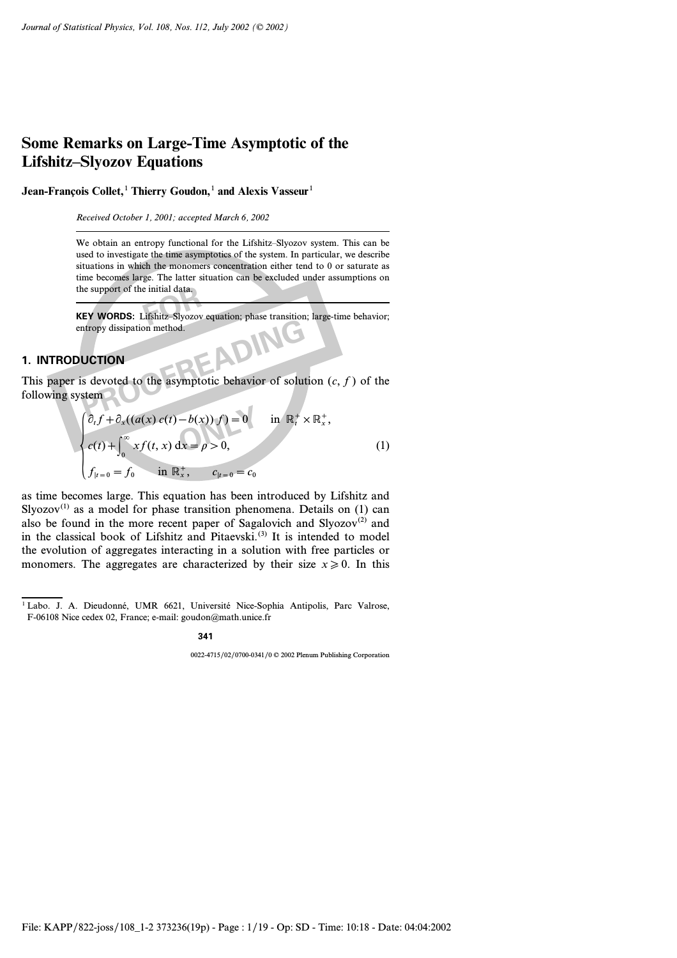**Jean-François Collet,**<sup>1</sup> **Thierry Goudon,**<sup>1</sup> **and Alexis Vasseur**<sup>1</sup>

*Received October 1, 2001; accepted March 6, 2002*

We obtain an entropy functional for the Lifshitz–Slyozov system. This can be used to investigate the time asymptotics of the system. In particular, we describe situations in which the monomers concentration either tend to 0 or saturate as time becomes large. The latter situation can be excluded under assumptions on the support of the initial data.

**FOREXEY WORDS:** Lifshitz–Slyozov equation; phase transition; large-time behavior; entropy dissipation method.

## **1. INTRODUCTION**

**PRODUCTION**<br>
S devoted to the asymptotic behavior of solutions<br>
S devoted to the asymptotic behavior of solutions This paper is devoted to the asymptotic behavior of solution *(c, f)* of the following system

$$
\begin{cases}\n\partial_t f + \partial_x ((a(x) c(t) - b(x)) f) = 0 & \text{in } \mathbb{R}_t^+ \times \mathbb{R}_x^+, \\
c(t) + \int_0^\infty x f(t, x) dx = \rho > 0, \\
f_{|t=0} = f_0 & \text{in } \mathbb{R}_x^+, \qquad c_{|t=0} = c_0\n\end{cases}
$$
\n(1)

as time becomes large. This equation has been introduced by Lifshitz and Slyozov<sup>(1)</sup> as a model for phase transition phenomena. Details on (1) can also be found in the more recent paper of Sagalovich and Slyozov<sup>(2)</sup> and in the classical book of Lifshitz and Pitaevski.<sup>(3)</sup> It is intended to model the evolution of aggregates interacting in a solution with free particles or monomers. The aggregates are characterized by their size  $x \ge 0$ . In this

**341**

0022-4715/02/0700-0341/0 © 2002 Plenum Publishing Corporation

<sup>&</sup>lt;sup>1</sup> Labo. J. A. Dieudonné, UMR 6621, Université Nice-Sophia Antipolis, Parc Valrose, F-06108 Nice cedex 02, France; e-mail: goudon@math.unice.fr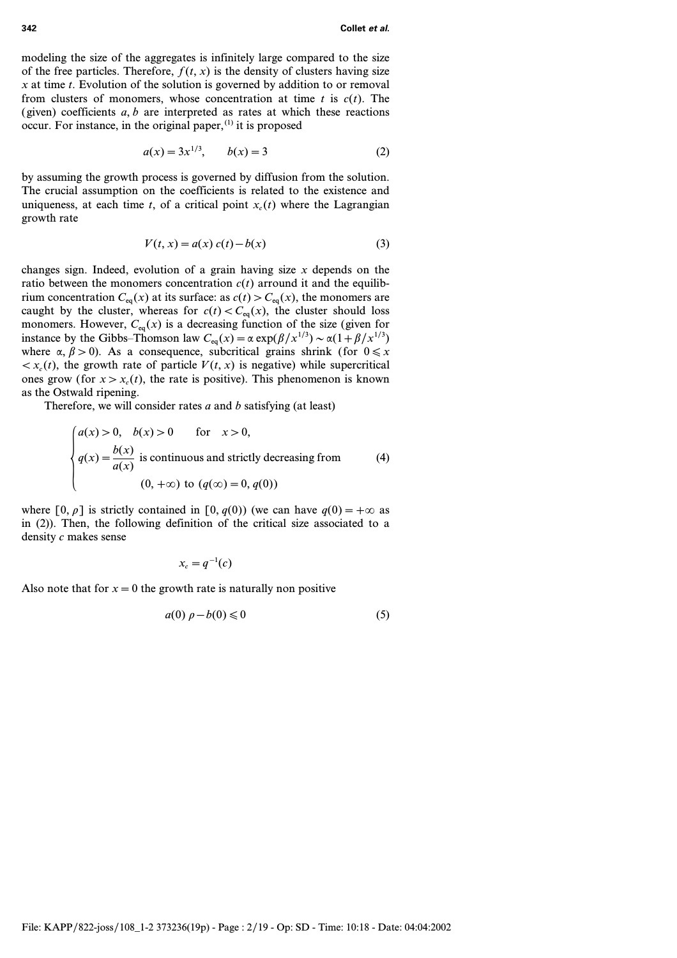modeling the size of the aggregates is infinitely large compared to the size of the free particles. Therefore,  $f(t, x)$  is the density of clusters having size *x* at time *t*. Evolution of the solution is governed by addition to or removal from clusters of monomers, whose concentration at time *t* is *c(t)*. The (given) coefficients *a, b* are interpreted as rates at which these reactions occur. For instance, in the original paper, $(1)$  it is proposed

$$
a(x) = 3x^{1/3}, \qquad b(x) = 3 \tag{2}
$$

by assuming the growth process is governed by diffusion from the solution. The crucial assumption on the coefficients is related to the existence and uniqueness, at each time *t*, of a critical point  $x_c(t)$  where the Lagrangian growth rate

$$
V(t, x) = a(x) c(t) - b(x)
$$
 (3)

changes sign. Indeed, evolution of a grain having size *x* depends on the ratio between the monomers concentration  $c(t)$  arround it and the equilibrium concentration  $C_{eq}(x)$  at its surface: as  $c(t) > C_{eq}(x)$ , the monomers are caught by the cluster, whereas for  $c(t) < C_{eq}(x)$ , the cluster should loss monomers. However,  $C_{eq}(x)$  is a decreasing function of the size (given for instance by the Gibbs–Thomson law  $C_{eq}(x) = \alpha \exp(\beta/x^{1/3}) \sim \alpha(1 + \beta/x^{1/3})$ where  $\alpha$ ,  $\beta > 0$ ). As a consequence, subcritical grains shrink (for  $0 \le x$  $\langle x_c(t)$ , the growth rate of particle  $V(t, x)$  is negative) while supercritical ones grow (for  $x > x_c(t)$ , the rate is positive). This phenomenon is known as the Ostwald ripening.

Therefore, we will consider rates *a* and *b* satisfying (at least)

$$
\begin{cases}\na(x) > 0, \quad b(x) > 0 \quad \text{for } x > 0, \\
q(x) = \frac{b(x)}{a(x)} \text{ is continuous and strictly decreasing from} \\
(0, +\infty) \text{ to } (q(\infty) = 0, q(0))\n\end{cases} \tag{4}
$$

where  $[0, \rho]$  is strictly contained in  $[0, q(0))$  (we can have  $q(0) = +\infty$  as in (2)). Then, the following definition of the critical size associated to a density *c* makes sense

$$
x_c = q^{-1}(c)
$$

Also note that for  $x = 0$  the growth rate is naturally non positive

$$
a(0)\,\rho - b(0) \leqslant 0\tag{5}
$$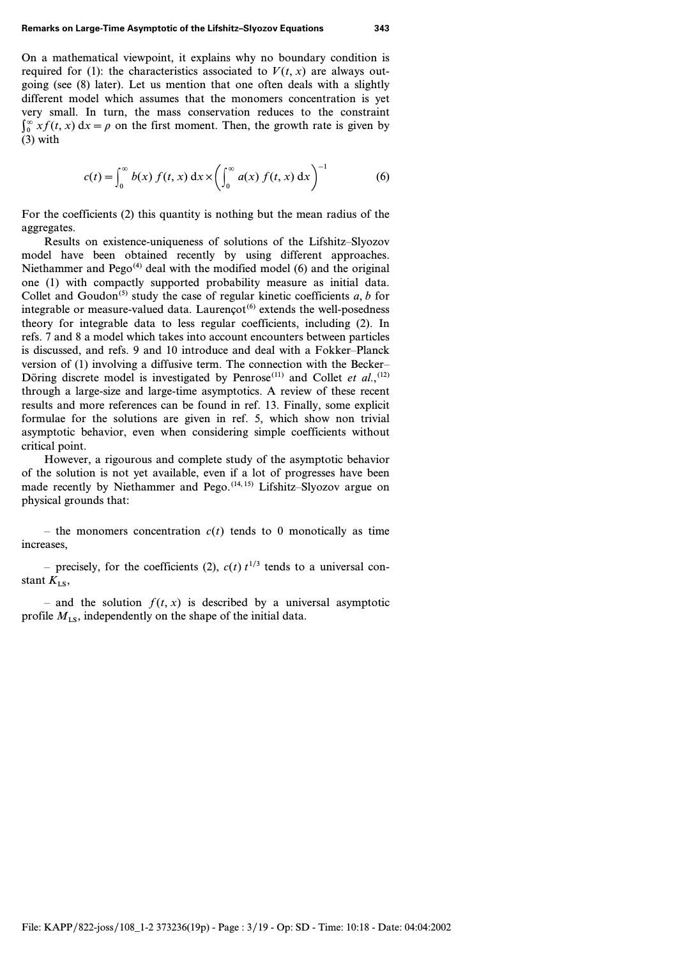On a mathematical viewpoint, it explains why no boundary condition is required for (1): the characteristics associated to  $V(t, x)$  are always outgoing (see (8) later). Let us mention that one often deals with a slightly different model which assumes that the monomers concentration is yet very small. In turn, the mass conservation reduces to the constraint  $\int_0^\infty x f(t, x) dx = \rho$  on the first moment. Then, the growth rate is given by (3) with

$$
c(t) = \int_0^\infty b(x) \, f(t, x) \, dx \times \left( \int_0^\infty a(x) \, f(t, x) \, dx \right)^{-1} \tag{6}
$$

For the coefficients (2) this quantity is nothing but the mean radius of the aggregates.

Results on existence-uniqueness of solutions of the Lifshitz–Slyozov model have been obtained recently by using different approaches. Niethammer and  $Pego^{(4)}$  deal with the modified model (6) and the original one (1) with compactly supported probability measure as initial data. Collet and Goudon<sup>(5)</sup> study the case of regular kinetic coefficients  $a, b$  for integrable or measure-valued data. Laurencot<sup> $(6)$ </sup> extends the well-posedness theory for integrable data to less regular coefficients, including (2). In refs. 7 and 8 a model which takes into account encounters between particles is discussed, and refs. 9 and 10 introduce and deal with a Fokker–Planck version of (1) involving a diffusive term. The connection with the Becker– Döring discrete model is investigated by Penrose<sup> $(11)$ </sup> and Collet *et al.*,<sup> $(12)$ </sup> through a large-size and large-time asymptotics. A review of these recent results and more references can be found in ref. 13. Finally, some explicit formulae for the solutions are given in ref. 5, which show non trivial asymptotic behavior, even when considering simple coefficients without critical point.

However, a rigourous and complete study of the asymptotic behavior of the solution is not yet available, even if a lot of progresses have been made recently by Niethammer and Pego.<sup>(14, 15)</sup> Lifshitz–Slyozov argue on physical grounds that:

– the monomers concentration  $c(t)$  tends to 0 monotically as time increases,

– precisely, for the coefficients (2),  $c(t) t^{1/3}$  tends to a universal constant  $K_{\text{L}}$ s,

– and the solution  $f(t, x)$  is described by a universal asymptotic profile  $M_{LS}$ , independently on the shape of the initial data.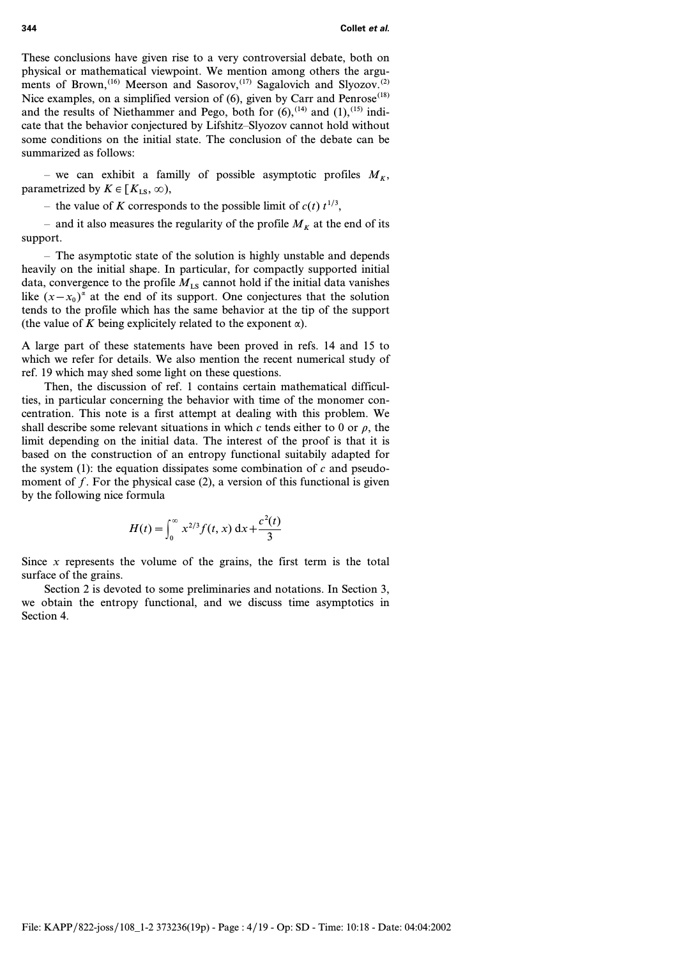These conclusions have given rise to a very controversial debate, both on physical or mathematical viewpoint. We mention among others the arguments of Brown,<sup>(16)</sup> Meerson and Sasorov,<sup>(17)</sup> Sagalovich and Slyozov.<sup>(2)</sup> Nice examples, on a simplified version of  $(6)$ , given by Carr and Penrose<sup>(18)</sup> and the results of Niethammer and Pego, both for  $(6)$ ,  $(14)$  and  $(1)$ ,  $(15)$  indicate that the behavior conjectured by Lifshitz–Slyozov cannot hold without some conditions on the initial state. The conclusion of the debate can be summarized as follows:

– we can exhibit a familly of possible asymptotic profiles  $M_K$ , parametrized by  $K \in [K_{LS}, \infty)$ ,

– the value of *K* corresponds to the possible limit of  $c(t)$   $t^{1/3}$ ,

– and it also measures the regularity of the profile  $M_K$  at the end of its support.

– The asymptotic state of the solution is highly unstable and depends heavily on the initial shape. In particular, for compactly supported initial data, convergence to the profile  $M_{LS}$  cannot hold if the initial data vanishes like  $(x-x_0)^{\alpha}$  at the end of its support. One conjectures that the solution tends to the profile which has the same behavior at the tip of the support (the value of *K* being explicitely related to the exponent  $\alpha$ ).

A large part of these statements have been proved in refs. 14 and 15 to which we refer for details. We also mention the recent numerical study of ref. 19 which may shed some light on these questions.

Then, the discussion of ref. 1 contains certain mathematical difficulties, in particular concerning the behavior with time of the monomer concentration. This note is a first attempt at dealing with this problem. We shall describe some relevant situations in which  $c$  tends either to 0 or  $\rho$ , the limit depending on the initial data. The interest of the proof is that it is based on the construction of an entropy functional suitabily adapted for the system  $(1)$ : the equation dissipates some combination of *c* and pseudomoment of *f*. For the physical case (2), a version of this functional is given by the following nice formula

$$
H(t) = \int_0^\infty x^{2/3} f(t, x) \, dx + \frac{c^2(t)}{3}
$$

Since  $x$  represents the volume of the grains, the first term is the total surface of the grains.

Section 2 is devoted to some preliminaries and notations. In Section 3, we obtain the entropy functional, and we discuss time asymptotics in Section 4.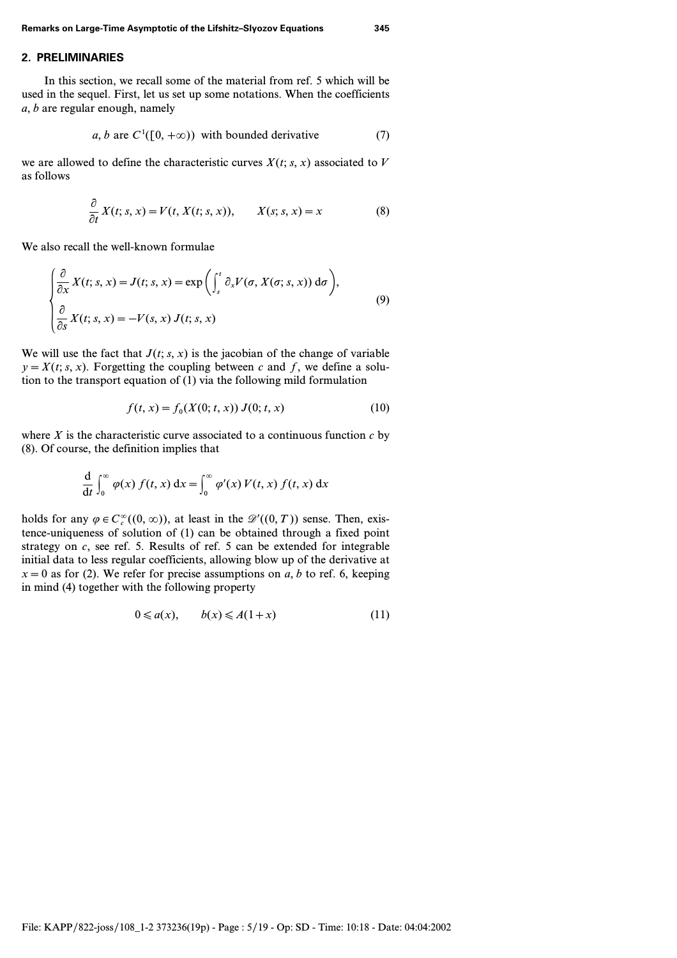## **2. PRELIMINARIES**

In this section, we recall some of the material from ref. 5 which will be used in the sequel. First, let us set up some notations. When the coefficients *a, b* are regular enough, namely

$$
a, b \text{ are } C^1([0, +\infty)) \text{ with bounded derivative} \tag{7}
$$

we are allowed to define the characteristic curves  $X(t; s, x)$  associated to  $V$ as follows

$$
\frac{\partial}{\partial t} X(t; s, x) = V(t, X(t; s, x)), \qquad X(s; s, x) = x \tag{8}
$$

We also recall the well-known formulae

$$
\begin{cases}\n\frac{\partial}{\partial x} X(t; s, x) = J(t; s, x) = \exp\left(\int_s^t \partial_x V(\sigma, X(\sigma; s, x)) d\sigma\right), \\
\frac{\partial}{\partial s} X(t; s, x) = -V(s, x) J(t; s, x)\n\end{cases}
$$
\n(9)

We will use the fact that  $J(t; s, x)$  is the jacobian of the change of variable  $y = X(t; s, x)$ . Forgetting the coupling between *c* and *f*, we define a solution to the transport equation of (1) via the following mild formulation

$$
f(t, x) = f_0(X(0; t, x)) J(0; t, x)
$$
 (10)

where  $X$  is the characteristic curve associated to a continuous function  $c$  by (8). Of course, the definition implies that

$$
\frac{d}{dt} \int_0^\infty \varphi(x) f(t, x) dx = \int_0^\infty \varphi'(x) V(t, x) f(t, x) dx
$$

holds for any  $\varphi \in C_c^{\infty}((0, \infty))$ , at least in the  $\mathscr{D}'((0, T))$  sense. Then, existence-uniqueness of solution of (1) can be obtained through a fixed point strategy on *c*, see ref. 5. Results of ref. 5 can be extended for integrable initial data to less regular coefficients, allowing blow up of the derivative at  $x=0$  as for (2). We refer for precise assumptions on *a*, *b* to ref. 6, keeping in mind (4) together with the following property

$$
0 \leq a(x), \qquad b(x) \leq A(1+x) \tag{11}
$$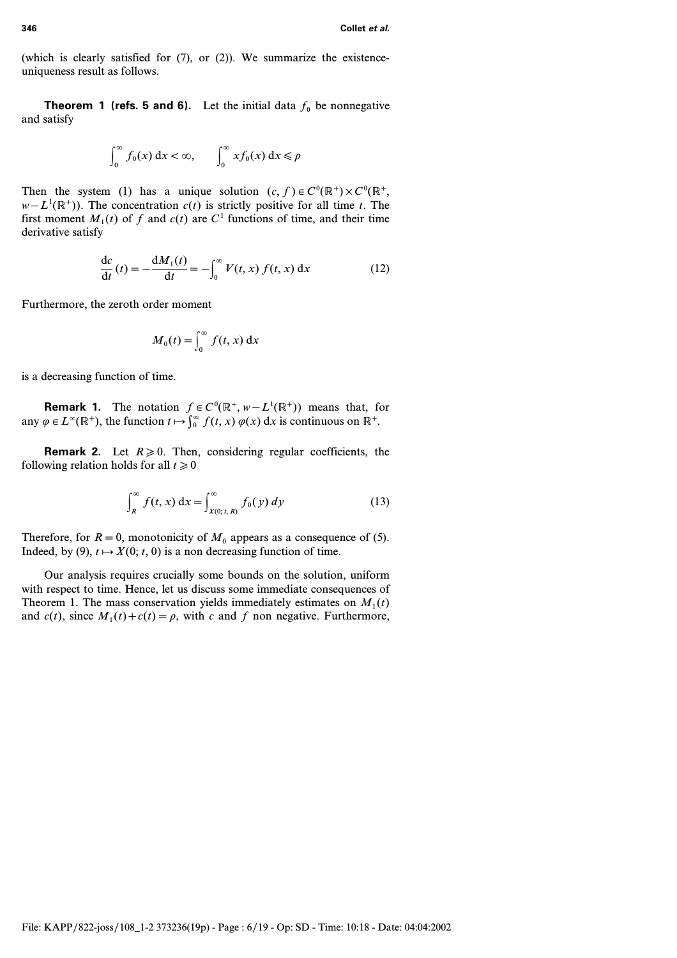(which is clearly satisfied for (7), or (2)). We summarize the existenceuniqueness result as follows.

**Theorem 1 (refs. 5 and 6).** Let the initial data  $f_0$  be nonnegative and satisfy

$$
\int_0^\infty f_0(x) \, \mathrm{d}x < \infty, \qquad \int_0^\infty x f_0(x) \, \mathrm{d}x \le \rho
$$

Then the system (1) has a unique solution  $(c, f) \in C^0(\mathbb{R}^+) \times C^0(\mathbb{R}^+)$  $w - L^1(\mathbb{R}^+)$ ). The concentration  $c(t)$  is strictly positive for all time *t*. The first moment  $M_1(t)$  of f and  $c(t)$  are  $C^1$  functions of time, and their time derivative satisfy

$$
\frac{\mathrm{d}c}{\mathrm{d}t}(t) = -\frac{\mathrm{d}M_1(t)}{\mathrm{d}t} = -\int_0^\infty V(t, x) f(t, x) \, \mathrm{d}x \tag{12}
$$

Furthermore, the zeroth order moment

$$
M_0(t) = \int_0^\infty f(t, x) \, \mathrm{d}x
$$

is a decreasing function of time.

**Remark 1.** The notation  $f \in C^0(\mathbb{R}^+, w - L^1(\mathbb{R}^+))$  means that, for any  $\varphi \in L^{\infty}(\mathbb{R}^+)$ , the function  $t \mapsto \int_0^{\infty} f(t, x) \varphi(x) dx$  is continuous on  $\mathbb{R}^+$ .

**Remark 2.** Let  $R \ge 0$ . Then, considering regular coefficients, the following relation holds for all  $t \ge 0$ 

$$
\int_{R}^{\infty} f(t, x) dx = \int_{X(0; t, R)}^{\infty} f_0(y) dy
$$
 (13)

Therefore, for  $R = 0$ , monotonicity of  $M_0$  appears as a consequence of (5). Indeed, by (9),  $t \mapsto X(0; t, 0)$  is a non decreasing function of time.

Our analysis requires crucially some bounds on the solution, uniform with respect to time. Hence, let us discuss some immediate consequences of Theorem 1. The mass conservation yields immediately estimates on  $M_1(t)$ and  $c(t)$ , since  $M_1(t) + c(t) = \rho$ , with c and f non negative. Furthermore,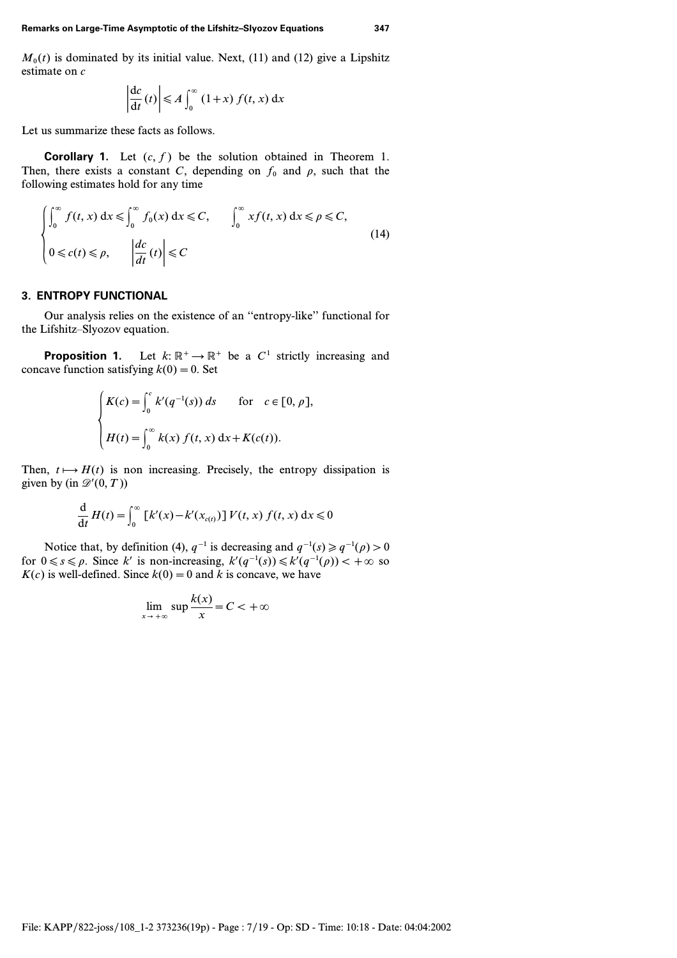$M<sub>0</sub>(t)$  is dominated by its initial value. Next, (11) and (12) give a Lipshitz estimate on *c*

$$
\left|\frac{\mathrm{d}c}{\mathrm{d}t}(t)\right| \leq A \int_0^\infty (1+x) f(t,x) \,\mathrm{d}x
$$

Let us summarize these facts as follows.

**Corollary 1.** Let *(c, f)* be the solution obtained in Theorem 1. Then, there exists a constant *C*, depending on  $f_0$  and  $\rho$ , such that the following estimates hold for any time

$$
\begin{cases} \int_0^\infty f(t, x) dx \le \int_0^\infty f_0(x) dx \le C, & \int_0^\infty x f(t, x) dx \le \rho \le C, \\ 0 \le c(t) \le \rho, & \left| \frac{dc}{dt}(t) \right| \le C \end{cases}
$$
(14)

# **3. ENTROPY FUNCTIONAL**

Our analysis relies on the existence of an ''entropy-like'' functional for the Lifshitz–Slyozov equation.

**Proposition 1.** Let  $k: \mathbb{R}^+ \to \mathbb{R}^+$  be a  $C^1$  strictly increasing and concave function satisfying  $k(0) = 0$ . Set

$$
\begin{cases}\nK(c) = \int_0^c k'(q^{-1}(s)) ds & \text{for } c \in [0, \rho], \\
H(t) = \int_0^\infty k(x) f(t, x) dx + K(c(t)).\n\end{cases}
$$

Then,  $t \mapsto H(t)$  is non increasing. Precisely, the entropy dissipation is given by (in  $\mathscr{D}'(0,T)$ )

$$
\frac{\mathrm{d}}{\mathrm{d}t}H(t) = \int_0^\infty \left[ k'(x) - k'(x_{c(t)}) \right] V(t, x) f(t, x) \, \mathrm{d}x \leq 0
$$

Notice that, by definition (4),  $q^{-1}$  is decreasing and  $q^{-1}(s) \ge q^{-1}(\rho) > 0$ for  $0 \le s \le \rho$ . Since *k'* is non-increasing,  $k'(q^{-1}(s)) \le k'(q^{-1}(\rho)) < +\infty$  so  $K(c)$  is well-defined. Since  $k(0) = 0$  and *k* is concave, we have

$$
\lim_{x \to +\infty} \sup \frac{k(x)}{x} = C < +\infty
$$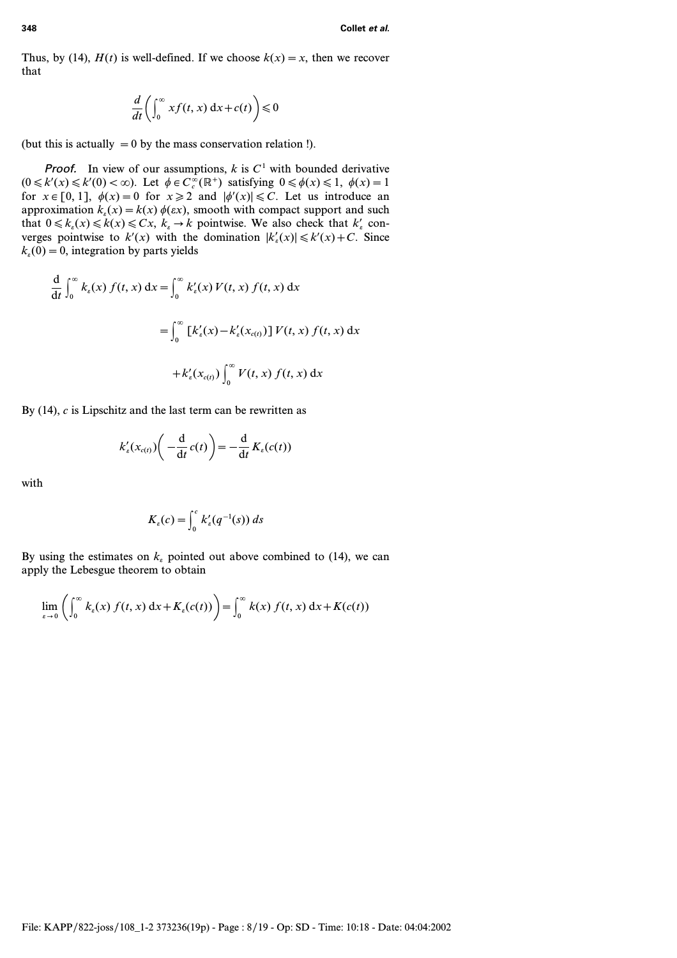Thus, by (14),  $H(t)$  is well-defined. If we choose  $k(x) = x$ , then we recover that

$$
\frac{d}{dt}\bigg(\int_0^\infty x f(t,x) \, \mathrm{d}x + c(t)\bigg) \leq 0
$$

(but this is actually  $=0$  by the mass conservation relation !).

**Proof.** In view of our assumptions,  $k$  is  $C<sup>1</sup>$  with bounded derivative  $(0 \le k'(x) \le k'(0) < \infty)$ . Let  $\phi \in C_c^{\infty}(\mathbb{R}^+)$  satisfying  $0 \le \phi(x) \le 1$ ,  $\phi(x) = 1$ for  $x \in [0, 1]$ ,  $\phi(x) = 0$  for  $x \ge 2$  and  $|\phi'(x)| \le C$ . Let us introduce an approximation  $k_e(x) = k(x) \phi(\varepsilon x)$ , smooth with compact support and such that  $0 \le k_e(x) \le k(x) \le Cx$ ,  $k_e \to k$  pointwise. We also check that  $k'_e$  converges pointwise to  $k'(x)$  with the domination  $|k'_i(x)| \le k'(x) + C$ . Since  $k_e(0) = 0$ , integration by parts yields

$$
\frac{d}{dt} \int_0^\infty k_\varepsilon(x) f(t, x) dx = \int_0^\infty k'_\varepsilon(x) V(t, x) f(t, x) dx
$$

$$
= \int_0^\infty \left[ k'_\varepsilon(x) - k'_\varepsilon(x_{\varepsilon(t)}) \right] V(t, x) f(t, x) dx
$$

$$
+ k'_\varepsilon(x_{\varepsilon(t)}) \int_0^\infty V(t, x) f(t, x) dx
$$

By (14), *c* is Lipschitz and the last term can be rewritten as

$$
k'_{\varepsilon}(x_{c(t)})\bigg(-\frac{\mathrm{d}}{\mathrm{d}t}c(t)\bigg)=-\frac{\mathrm{d}}{\mathrm{d}t}K_{\varepsilon}(c(t))
$$

with

$$
K_{\varepsilon}(c) = \int_0^c k'_{\varepsilon}(q^{-1}(s)) ds
$$

By using the estimates on  $k_e$  pointed out above combined to (14), we can apply the Lebesgue theorem to obtain

$$
\lim_{\varepsilon \to 0} \left( \int_0^\infty k_\varepsilon(x) f(t, x) dx + K_\varepsilon(c(t)) \right) = \int_0^\infty k(x) f(t, x) dx + K(c(t))
$$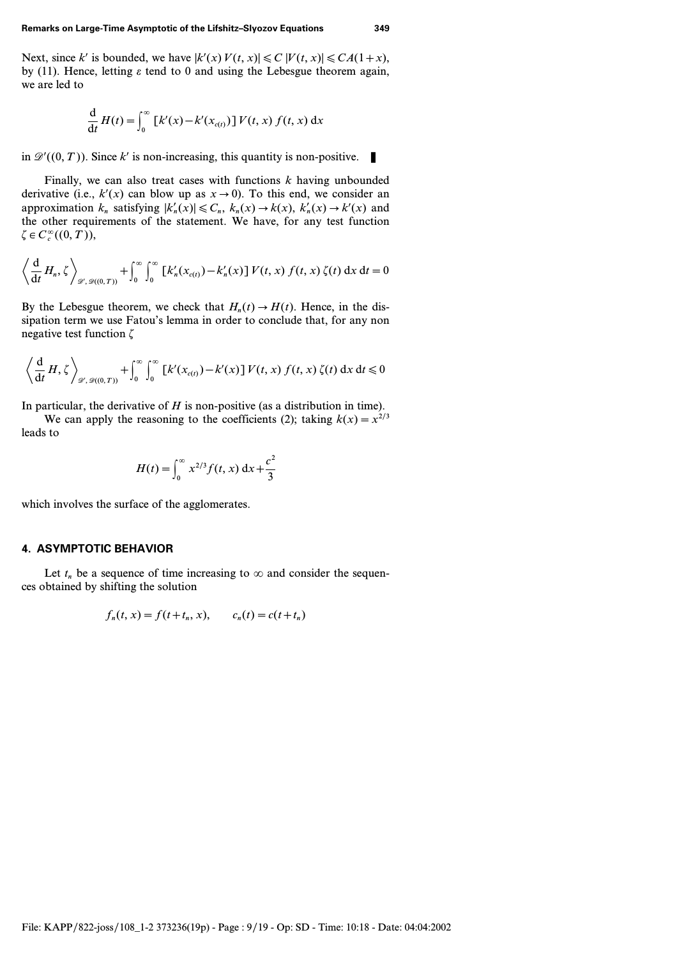Next, since *k'* is bounded, we have  $|k'(x) V(t, x)| \le C |V(t, x)| \le CA(1+x)$ , by (11). Hence, letting  $\varepsilon$  tend to 0 and using the Lebesgue theorem again, we are led to

$$
\frac{\mathrm{d}}{\mathrm{d}t}H(t) = \int_0^\infty \left[ k'(x) - k'(x_{c(t)}) \right] V(t, x) f(t, x) \, \mathrm{d}x
$$

in  $\mathscr{D}'((0, T))$ . Since k' is non-increasing, this quantity is non-positive.

Finally, we can also treat cases with functions *k* having unbounded derivative (i.e.,  $k'(x)$  can blow up as  $x \to 0$ ). To this end, we consider an approximation  $k_n$  satisfying  $|k'_n(x)| \leq C_n$ ,  $k_n(x) \to k(x)$ ,  $k'_n(x) \to k'(x)$  and the other requirements of the statement. We have, for any test function  $\zeta \in C_c^{\infty}((0, T)),$ 

$$
\left\langle \frac{\mathrm{d}}{\mathrm{d}t} H_n, \zeta \right\rangle_{\mathscr{D}', \mathscr{D}((0,T))} + \int_0^\infty \int_0^\infty \left[ k'_n(x_{c(t)}) - k'_n(x) \right] V(t,x) f(t,x) \zeta(t) \, \mathrm{d}x \, \mathrm{d}t = 0
$$

By the Lebesgue theorem, we check that  $H_n(t) \to H(t)$ . Hence, in the dissipation term we use Fatou's lemma in order to conclude that, for any non negative test function *z*

$$
\left\langle \frac{\mathrm{d}}{\mathrm{d}t} H, \zeta \right\rangle_{\mathscr{D}', \mathscr{D}((0,T))} + \int_0^\infty \int_0^\infty \left[ k'(x_{c(t)}) - k'(x) \right] V(t,x) f(t,x) \zeta(t) \, \mathrm{d}x \, \mathrm{d}t \leq 0
$$

In particular, the derivative of *H* is non-positive (as a distribution in time).

We can apply the reasoning to the coefficients (2); taking  $k(x) = x^{2/3}$ leads to

$$
H(t) = \int_0^\infty x^{2/3} f(t, x) \, dx + \frac{c^2}{3}
$$

which involves the surface of the agglomerates.

## **4. ASYMPTOTIC BEHAVIOR**

Let  $t_n$  be a sequence of time increasing to  $\infty$  and consider the sequences obtained by shifting the solution

$$
f_n(t, x) = f(t+t_n, x),
$$
  $c_n(t) = c(t+t_n)$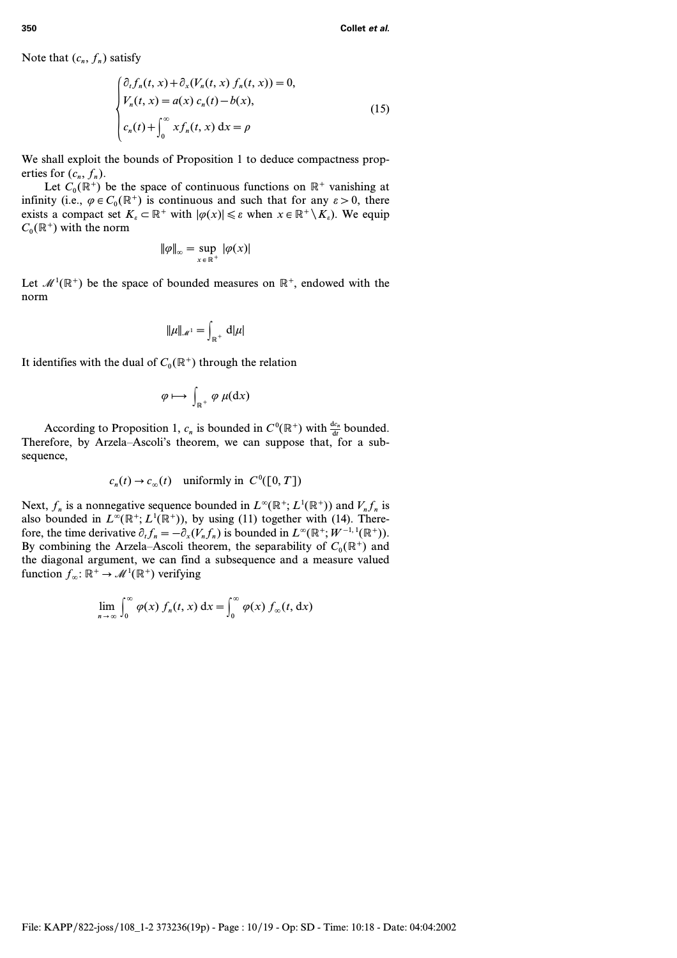Note that  $(c_n, f_n)$  satisfy

$$
\begin{cases} \partial_t f_n(t, x) + \partial_x (V_n(t, x) f_n(t, x)) = 0, \\ V_n(t, x) = a(x) c_n(t) - b(x), \\ c_n(t) + \int_0^\infty x f_n(t, x) dx = \rho \end{cases}
$$
\n(15)

We shall exploit the bounds of Proposition 1 to deduce compactness properties for  $(c_n, f_n)$ .

Let  $C_0(\mathbb{R}^+)$  be the space of continuous functions on  $\mathbb{R}^+$  vanishing at infinity (i.e.,  $\varphi \in C_0(\mathbb{R}^+)$  is continuous and such that for any  $\varepsilon > 0$ , there exists a compact set  $K_{\varepsilon} \subset \mathbb{R}^+$  with  $|\varphi(x)| \leq \varepsilon$  when  $x \in \mathbb{R}^+ \setminus K_{\varepsilon}$ ). We equip  $C_0(\mathbb{R}^+)$  with the norm

$$
\|\varphi\|_{\infty} = \sup_{x \in \mathbb{R}^+} |\varphi(x)|
$$

Let  $\mathcal{M}^1(\mathbb{R}^+)$  be the space of bounded measures on  $\mathbb{R}^+$ , endowed with the norm

$$
\|\mu\|_{\mathscr{M}^1} = \int_{\mathbb{R}^+} d|\mu|
$$

It identifies with the dual of  $C_0(\mathbb{R}^+)$  through the relation

$$
\varphi \longmapsto \int_{\mathbb{R}^+} \varphi \mu(dx)
$$

According to Proposition 1,  $c_n$  is bounded in  $C^0(\mathbb{R}^+)$  with  $\frac{dc_n}{dt}$  bounded. Therefore, by Arzela–Ascoli's theorem, we can suppose that, for a subsequence,

$$
c_n(t) \to c_\infty(t) \quad \text{uniformly in } C^0([0, T])
$$

Next,  $f_n$  is a nonnegative sequence bounded in  $L^{\infty}(\mathbb{R}^+; L^1(\mathbb{R}^+))$  and  $V_n f_n$  is also bounded in  $L^{\infty}(\mathbb{R}^+; L^1(\mathbb{R}^+))$ , by using (11) together with (14). Therefore, the time derivative  $\partial_t f_n = -\partial_x (V_n f_n)$  is bounded in  $L^{\infty}(\mathbb{R}^+; W^{-1,1}(\mathbb{R}^+))$ . By combining the Arzela–Ascoli theorem, the separability of  $C_0(\mathbb{R}^+)$  and the diagonal argument, we can find a subsequence and a measure valued function  $f_{\infty}$ :  $\mathbb{R}^+ \to \mathcal{M}^1(\mathbb{R}^+)$  verifying

$$
\lim_{n\to\infty}\int_0^\infty \varphi(x)\,f_n(t,x)\,\mathrm{d}x = \int_0^\infty \varphi(x)\,f_\infty(t,\,\mathrm{d}x)
$$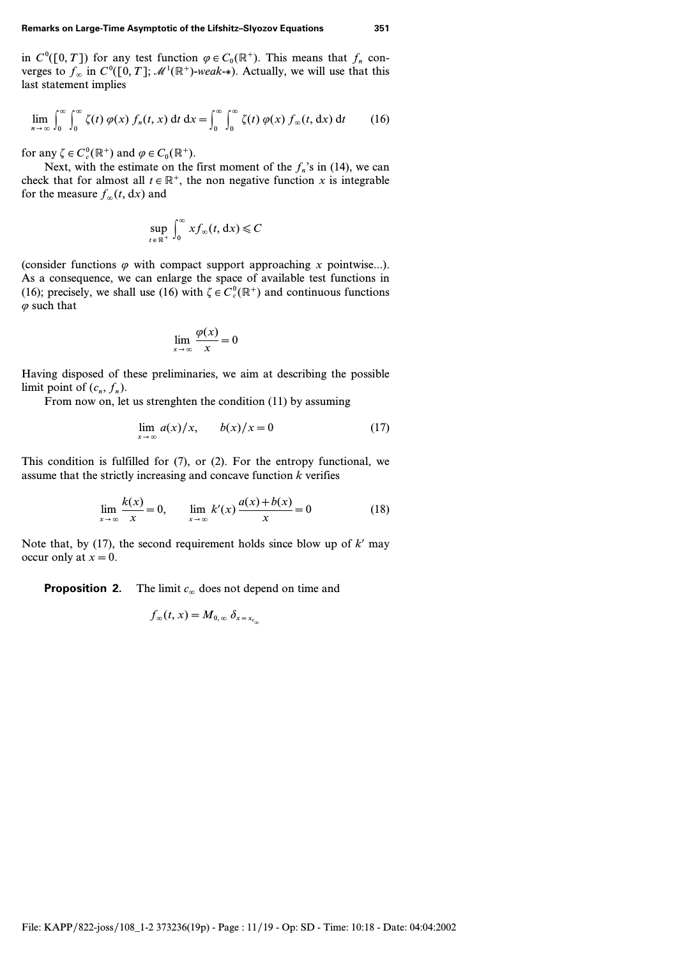in  $C^0([0, T])$  for any test function  $\varphi \in C_0(\mathbb{R}^+)$ . This means that  $f_n$  converges to  $f_{\infty}$  in  $C^0([0, T]; \mathcal{M}^1(\mathbb{R}^+)$ -weak-\*). Actually, we will use that this last statement implies

$$
\lim_{n \to \infty} \int_0^{\infty} \int_0^{\infty} \zeta(t) \, \varphi(x) \, f_n(t, x) \, \mathrm{d}t \, \mathrm{d}x = \int_0^{\infty} \int_0^{\infty} \zeta(t) \, \varphi(x) \, f_\infty(t, \, \mathrm{d}x) \, \mathrm{d}t \tag{16}
$$

for any  $\zeta \in C_c^0(\mathbb{R}^+)$  and  $\varphi \in C_0(\mathbb{R}^+)$ .

Next, with the estimate on the first moment of the  $f_n$ 's in (14), we can check that for almost all  $t \in \mathbb{R}^+$ , the non negative function *x* is integrable for the measure  $f_{\infty}(t, dx)$  and

$$
\sup_{t \in \mathbb{R}^+} \int_0^\infty x f_\infty(t, \, \mathrm{d}x) \leqslant C
$$

(consider functions  $\varphi$  with compact support approaching *x* pointwise...). As a consequence, we can enlarge the space of available test functions in (16); precisely, we shall use (16) with  $\zeta \in C_c^0(\mathbb{R}^+)$  and continuous functions  $\varphi$  such that

$$
\lim_{x \to \infty} \frac{\varphi(x)}{x} = 0
$$

Having disposed of these preliminaries, we aim at describing the possible limit point of  $(c_n, f_n)$ .

From now on, let us strenghten the condition (11) by assuming

$$
\lim_{x \to \infty} a(x)/x, \qquad b(x)/x = 0 \tag{17}
$$

This condition is fulfilled for (7), or (2). For the entropy functional, we assume that the strictly increasing and concave function *k* verifies

$$
\lim_{x \to \infty} \frac{k(x)}{x} = 0, \qquad \lim_{x \to \infty} k'(x) \frac{a(x) + b(x)}{x} = 0
$$
\n(18)

Note that, by (17), the second requirement holds since blow up of  $k'$  may occur only at  $x=0$ .

**Proposition 2.** The limit  $c_{\infty}$  does not depend on time and

$$
f_{\infty}(t, x) = M_{0, \infty} \, \delta_{x = x_{c_{\infty}}}
$$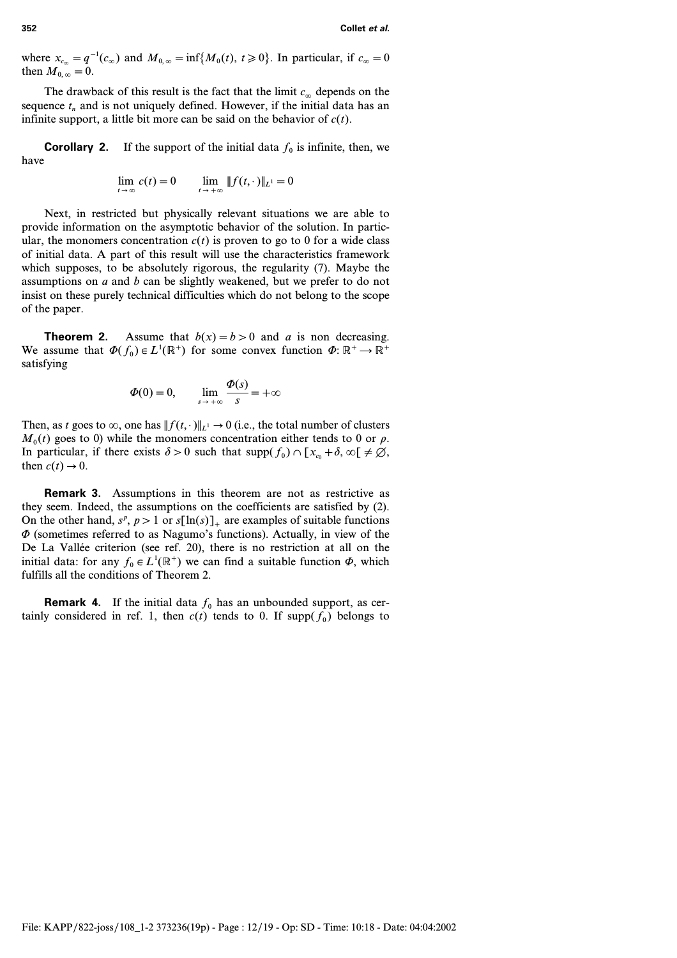where  $x_{c_{\infty}} = q^{-1}(c_{\infty})$  and  $M_{0,\infty} = \inf\{M_0(t), t \ge 0\}$ . In particular, if  $c_{\infty} = 0$ then  $M_{0,\infty} = 0$ .

The drawback of this result is the fact that the limit  $c_{\infty}$  depends on the sequence  $t_n$  and is not uniquely defined. However, if the initial data has an infinite support, a little bit more can be said on the behavior of  $c(t)$ .

**Corollary 2.** If the support of the initial data  $f_0$  is infinite, then, we have

$$
\lim_{t \to \infty} c(t) = 0 \qquad \lim_{t \to +\infty} ||f(t, \cdot)||_{L^1} = 0
$$

Next, in restricted but physically relevant situations we are able to provide information on the asymptotic behavior of the solution. In particular, the monomers concentration  $c(t)$  is proven to go to 0 for a wide class of initial data. A part of this result will use the characteristics framework which supposes, to be absolutely rigorous, the regularity (7). Maybe the assumptions on *a* and *b* can be slightly weakened, but we prefer to do not insist on these purely technical difficulties which do not belong to the scope of the paper.

**Theorem 2.** Assume that  $b(x) = b > 0$  and *a* is non decreasing. We assume that  $\Phi(f_0) \in L^1(\mathbb{R}^+)$  for some convex function  $\Phi: \mathbb{R}^+ \to \mathbb{R}^+$ satisfying

$$
\Phi(0) = 0, \qquad \lim_{s \to +\infty} \frac{\Phi(s)}{s} = +\infty
$$

Then, as *t* goes to  $\infty$ , one has  $|| f(t, \cdot) ||_{L^1} \rightarrow 0$  (i.e., the total number of clusters  $M_0(t)$  goes to 0) while the monomers concentration either tends to 0 or  $\rho$ . In particular, if there exists  $\delta > 0$  such that  $\text{supp}(f_0) \cap [x_{c_0} + \delta, \infty) \neq \emptyset$ , then  $c(t) \rightarrow 0$ .

**Remark 3.** Assumptions in this theorem are not as restrictive as they seem. Indeed, the assumptions on the coefficients are satisfied by (2). On the other hand,  $s^p$ ,  $p > 1$  or  $s[\ln(s)]_+$  are examples of suitable functions  $\Phi$  (sometimes referred to as Nagumo's functions). Actually, in view of the De La Vallée criterion (see ref. 20), there is no restriction at all on the initial data: for any  $f_0 \in L^1(\mathbb{R}^+)$  we can find a suitable function  $\Phi$ , which fulfills all the conditions of Theorem 2.

**Remark 4.** If the initial data  $f_0$  has an unbounded support, as certainly considered in ref. 1, then  $c(t)$  tends to 0. If supp $(f_0)$  belongs to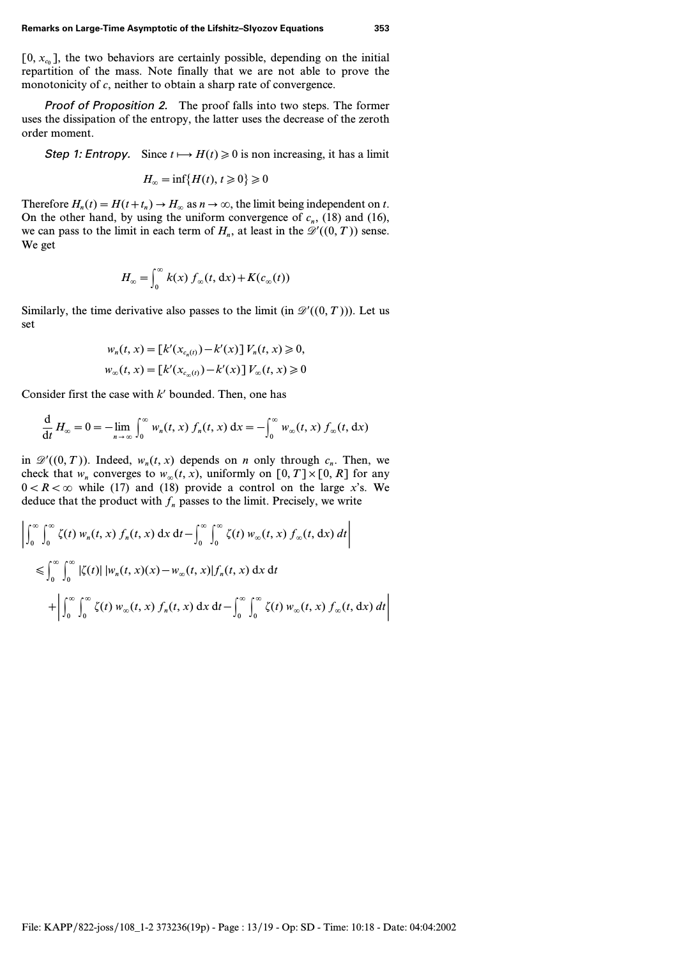$[0, x<sub>c0</sub>]$ , the two behaviors are certainly possible, depending on the initial repartition of the mass. Note finally that we are not able to prove the monotonicity of *c*, neither to obtain a sharp rate of convergence.

Proof of Proposition 2. The proof falls into two steps. The former uses the dissipation of the entropy, the latter uses the decrease of the zeroth order moment.

Step 1: Entropy. Since  $t \mapsto H(t) \ge 0$  is non increasing, it has a limit

$$
H_{\infty} = \inf\{H(t), t \geq 0\} \geq 0
$$

Therefore  $H_n(t) = H(t+t_n) \rightarrow H_\infty$  as  $n \rightarrow \infty$ , the limit being independent on *t*. On the other hand, by using the uniform convergence of  $c_n$ , (18) and (16), we can pass to the limit in each term of  $H_n$ , at least in the  $\mathcal{D}'((0, T))$  sense. We get

$$
H_{\infty} = \int_0^{\infty} k(x) f_{\infty}(t, dx) + K(c_{\infty}(t))
$$

Similarly, the time derivative also passes to the limit (in  $\mathcal{D}'((0,T))$ ). Let us set

$$
w_n(t, x) = [k'(x_{c_n(t)}) - k'(x)] V_n(t, x) \ge 0,
$$
  

$$
w_{\infty}(t, x) = [k'(x_{c_{\infty}(t)}) - k'(x)] V_{\infty}(t, x) \ge 0
$$

Consider first the case with  $k'$  bounded. Then, one has

$$
\frac{\mathrm{d}}{\mathrm{d}t}H_{\infty}=0=-\lim_{n\to\infty}\int_0^{\infty}w_n(t,x)\,f_n(t,x)\,\mathrm{d}x=-\int_0^{\infty}w_{\infty}(t,x)\,f_{\infty}(t,\,\mathrm{d}x)
$$

in  $\mathscr{D}'((0, T))$ . Indeed,  $w_n(t, x)$  depends on *n* only through  $c_n$ . Then, we check that  $w_n$  converges to  $w_\infty(t, x)$ , uniformly on  $[0, T] \times [0, R]$  for any  $0 < R < \infty$  while (17) and (18) provide a control on the large *x*'s. We deduce that the product with  $f_n$  passes to the limit. Precisely, we write

$$
\left| \int_0^\infty \int_0^\infty \zeta(t) w_n(t, x) f_n(t, x) dx dt - \int_0^\infty \int_0^\infty \zeta(t) w_\infty(t, x) f_\infty(t, dx) dt \right|
$$
  
\n
$$
\leq \int_0^\infty \int_0^\infty |\zeta(t)| |w_n(t, x)(x) - w_\infty(t, x)| f_n(t, x) dx dt + \left| \int_0^\infty \int_0^\infty \zeta(t) w_\infty(t, x) f_n(t, x) dx dt - \int_0^\infty \int_0^\infty \zeta(t) w_\infty(t, x) f_\infty(t, dx) dt \right|
$$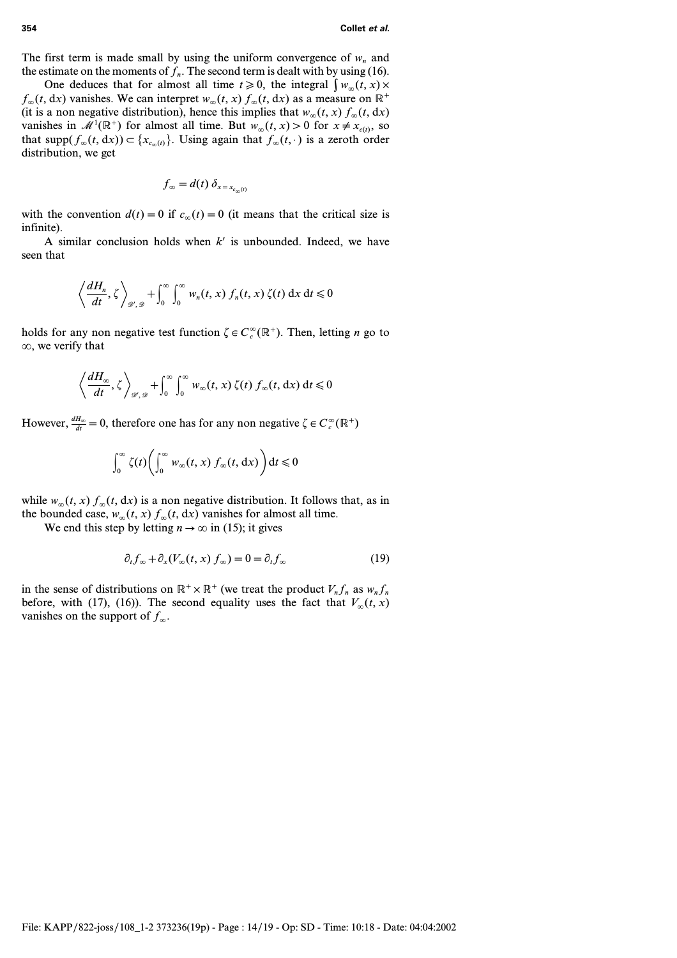The first term is made small by using the uniform convergence of  $w<sub>n</sub>$  and the estimate on the moments of  $f<sub>n</sub>$ . The second term is dealt with by using (16).

One deduces that for almost all time  $t \ge 0$ , the integral  $\int w_{\infty}(t, x) \times$  $f_{\infty}(t, dx)$  vanishes. We can interpret  $w_{\infty}(t, x) f_{\infty}(t, dx)$  as a measure on  $\mathbb{R}^+$ (it is a non negative distribution), hence this implies that  $w_{\infty}(t, x) f_{\infty}(t, dx)$ vanishes in  $\mathcal{M}^1(\mathbb{R}^+)$  for almost all time. But  $w_\infty(t, x) > 0$  for  $x \neq x_{c(t)}$ , so that  $supp(f_{\infty}(t, dx)) \subset \{x_{c_{\infty}(t)}\}$ . Using again that  $f_{\infty}(t, \cdot)$  is a zeroth order distribution, we get

$$
f_{\infty} = d(t) \, \delta_{x = x_{c_{\infty}(t)}}
$$

with the convention  $d(t) = 0$  if  $c_{\infty}(t) = 0$  (it means that the critical size is infinite).

A similar conclusion holds when  $k'$  is unbounded. Indeed, we have seen that

$$
\left\langle \frac{dH_n}{dt}, \zeta \right\rangle_{\mathscr{D}',\mathscr{D}} + \int_0^\infty \int_0^\infty w_n(t,x) f_n(t,x) \zeta(t) \, \mathrm{d}x \, \mathrm{d}t \leq 0
$$

holds for any non negative test function  $\zeta \in C_c^{\infty}(\mathbb{R}^+)$ . Then, letting *n* go to  $\infty$ , we verify that

$$
\left\langle \frac{dH_{\infty}}{dt}, \zeta \right\rangle_{\mathscr{D}',\mathscr{D}} + \int_0^\infty \int_0^\infty w_\infty(t, x) \, \zeta(t) \, f_\infty(t, dx) \, dt \leq 0
$$

However,  $\frac{dH_{\infty}}{dt} = 0$ , therefore one has for any non negative  $\zeta \in C_c^{\infty}(\mathbb{R}^+)$ 

$$
\int_0^\infty \zeta(t) \bigg( \int_0^\infty w_\infty(t,x) \, f_\infty(t,\,\mathrm{d}x) \bigg) \,\mathrm{d}t \leq 0
$$

while  $w_{\infty}(t, x) f_{\infty}(t, dx)$  is a non negative distribution. It follows that, as in the bounded case,  $w_{\infty}(t, x) f_{\infty}(t, dx)$  vanishes for almost all time.

We end this step by letting  $n \to \infty$  in (15); it gives

$$
\partial_t f_\infty + \partial_x (V_\infty(t, x) f_\infty) = 0 = \partial_t f_\infty \tag{19}
$$

in the sense of distributions on  $\mathbb{R}^+ \times \mathbb{R}^+$  (we treat the product  $V_n f_n$  as  $w_n f_n$ before, with (17), (16)). The second equality uses the fact that  $V_\infty(t, x)$ vanishes on the support of  $f_{\infty}$ .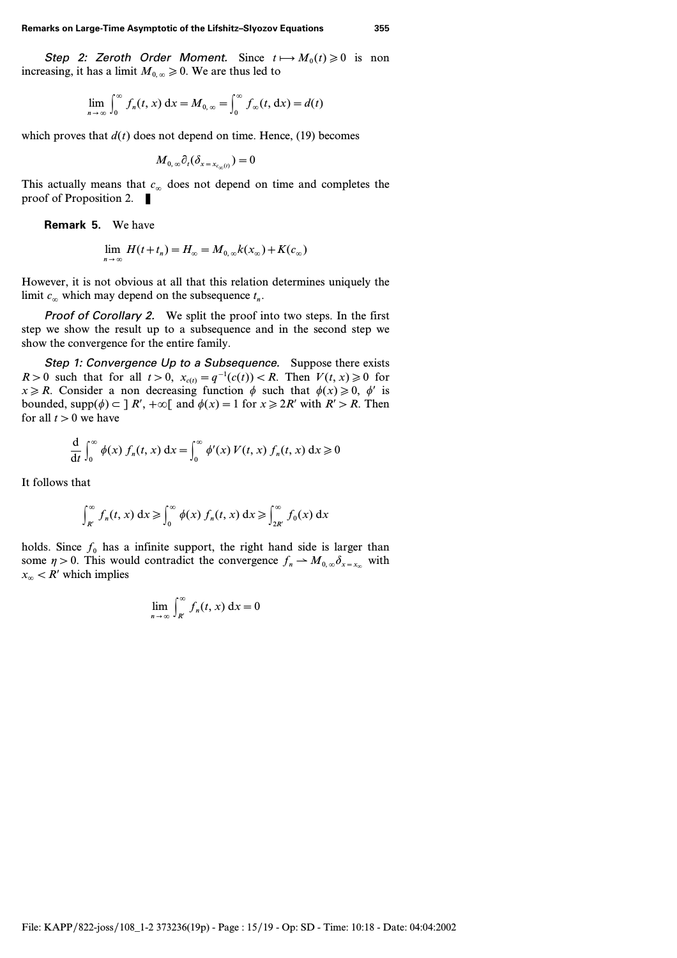Step 2: Zeroth Order Moment. Since  $t \mapsto M_0(t) \ge 0$  is non increasing, it has a limit  $M_{0, \infty} \ge 0$ . We are thus led to

$$
\lim_{n \to \infty} \int_0^{\infty} f_n(t, x) dx = M_{0, \infty} = \int_0^{\infty} f_{\infty}(t, dx) = d(t)
$$

which proves that  $d(t)$  does not depend on time. Hence, (19) becomes

$$
M_{0,\,\infty}\partial_t(\delta_{x=x_{c_{\infty}(t)}})=0
$$

This actually means that  $c_{\infty}$  does not depend on time and completes the proof of Proposition 2.  $\blacksquare$ 

**Remark 5.** We have

$$
\lim_{n\to\infty} H(t+t_n) = H_{\infty} = M_{0,\infty}k(x_{\infty}) + K(c_{\infty})
$$

However, it is not obvious at all that this relation determines uniquely the limit  $c_{\infty}$  which may depend on the subsequence  $t_n$ .

Proof of Corollary 2. We split the proof into two steps. In the first step we show the result up to a subsequence and in the second step we show the convergence for the entire family.

Step 1: Convergence Up to a Subsequence. Suppose there exists *R* > 0 such that for all  $t > 0$ ,  $x_{c(t)} = q^{-1}(c(t)) < R$ . Then  $V(t, x) \ge 0$  for  $x \ge R$ . Consider a non decreasing function  $\phi$  such that  $\phi(x) \ge 0$ ,  $\phi'$  is bounded, supp $(\phi) \subset \mathbb{R}$ ,  $+\infty$  and  $\phi(x) = 1$  for  $x \ge 2R'$  with  $R' > R$ . Then for all  $t > 0$  we have

$$
\frac{d}{dt} \int_0^\infty \phi(x) f_n(t, x) dx = \int_0^\infty \phi'(x) V(t, x) f_n(t, x) dx \ge 0
$$

It follows that

$$
\int_{R'}^{\infty} f_n(t, x) dx \geq \int_{0}^{\infty} \phi(x) f_n(t, x) dx \geq \int_{2R'}^{\infty} f_0(x) dx
$$

holds. Since  $f_0$  has a infinite support, the right hand side is larger than some  $\eta > 0$ . This would contradict the convergence  $f_n \to M_{0,\infty} \delta_{x=x_{\infty}}$  with  $x_{\infty}$  < *R'* which implies

$$
\lim_{n \to \infty} \int_{R'}^{\infty} f_n(t, x) \, \mathrm{d}x = 0
$$

File: KAPP/822-joss/108\_1-2 373236(19p) - Page : 15/19 - Op: SD - Time: 10:18 - Date: 04:04:2002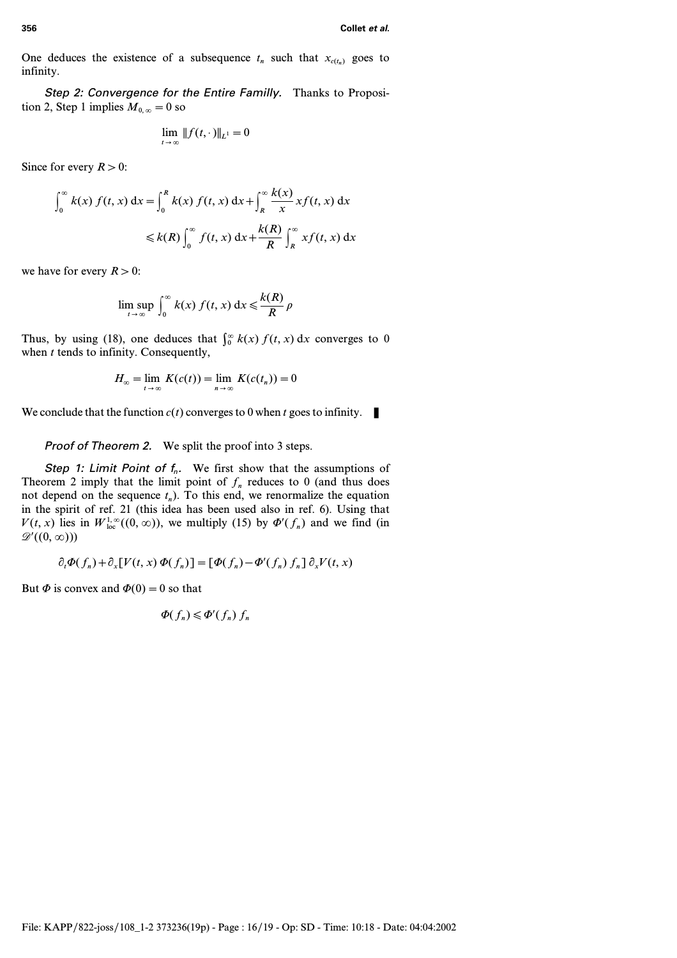One deduces the existence of a subsequence  $t_n$  such that  $x_{c(t_n)}$  goes to infinity.

Step 2: Convergence for the Entire Familly. Thanks to Proposition 2, Step 1 implies  $M_{0, \infty} = 0$  so

$$
\lim_{t\to\infty}||f(t,\cdot)||_{L^1}=0
$$

Since for every  $R > 0$ :

$$
\int_0^\infty k(x) f(t, x) dx = \int_0^R k(x) f(t, x) dx + \int_R^\infty \frac{k(x)}{x} x f(t, x) dx
$$
  

$$
\leq k(R) \int_0^\infty f(t, x) dx + \frac{k(R)}{R} \int_R^\infty x f(t, x) dx
$$

we have for every  $R > 0$ :

$$
\limsup_{t\to\infty}\int_0^\infty k(x)\,f(t,x)\,\mathrm{d}x\leqslant\frac{k(R)}{R}\,\rho
$$

Thus, by using (18), one deduces that  $\int_0^\infty k(x) f(t, x) dx$  converges to 0 when *t* tends to infinity. Consequently,

$$
H_{\infty} = \lim_{t \to \infty} K(c(t)) = \lim_{n \to \infty} K(c(t_n)) = 0
$$

We conclude that the function  $c(t)$  converges to 0 when *t* goes to infinity.

## Proof of Theorem 2. We split the proof into 3 steps.

Step 1: Limit Point of  $f_n$ . We first show that the assumptions of Theorem 2 imply that the limit point of  $f<sub>n</sub>$  reduces to 0 (and thus does not depend on the sequence  $t_n$ ). To this end, we renormalize the equation in the spirit of ref. 21 (this idea has been used also in ref. 6). Using that  $V(t, x)$  lies in  $W^{1,\infty}_{loc}((0, \infty))$ , we multiply (15) by  $\Phi'(f_n)$  and we find (in  $\mathscr{D}'((0,\infty))$ 

$$
\partial_t \Phi(f_n) + \partial_x [V(t, x) \Phi(f_n)] = [\Phi(f_n) - \Phi'(f_n) f_n] \partial_x V(t, x)
$$

But  $\Phi$  is convex and  $\Phi(0) = 0$  so that

$$
\Phi(f_n) \leq \Phi'(f_n) f_n
$$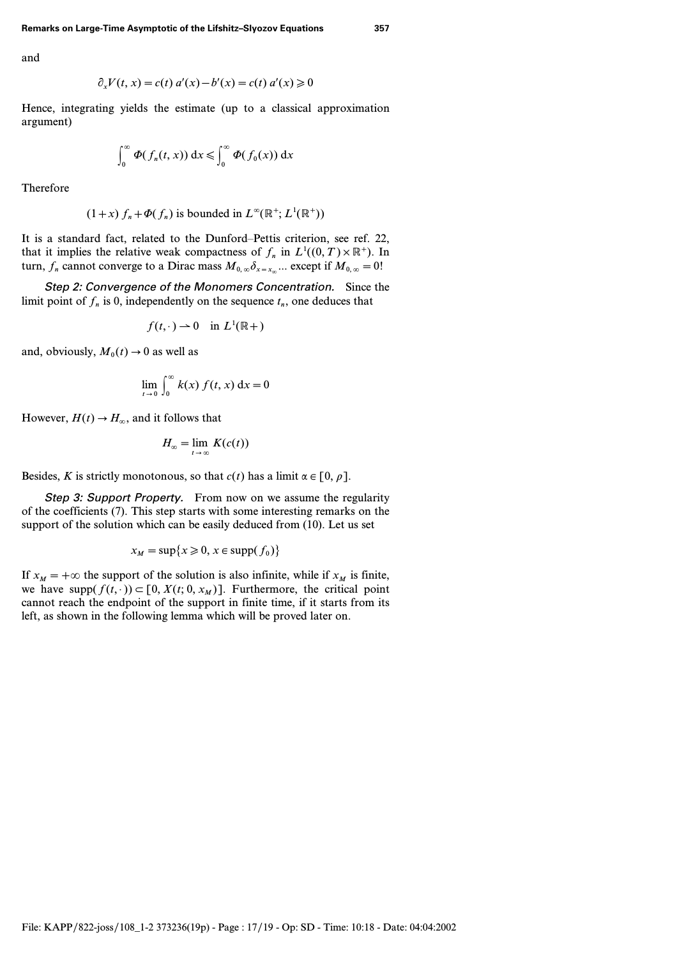and

$$
\partial_x V(t, x) = c(t) a'(x) - b'(x) = c(t) a'(x) \ge 0
$$

Hence, integrating yields the estimate (up to a classical approximation argument)

$$
\int_0^\infty \Phi(f_n(t,x))\,\mathrm{d}x \leqslant \int_0^\infty \Phi(f_0(x))\,\mathrm{d}x
$$

Therefore

$$
(1+x) f_n + \Phi(f_n)
$$
 is bounded in  $L^{\infty}(\mathbb{R}^+; L^1(\mathbb{R}^+))$ 

It is a standard fact, related to the Dunford–Pettis criterion, see ref. 22, that it implies the relative weak compactness of  $f_n$  in  $L^1((0, T) \times \mathbb{R}^+)$ . In turn,  $f_n$  cannot converge to a Dirac mass  $M_{0,\infty} \delta_{x=x_n}$ ... except if  $M_{0,\infty} = 0!$ 

Step 2: Convergence of the Monomers Concentration. Since the limit point of  $f_n$  is 0, independently on the sequence  $t_n$ , one deduces that

$$
f(t,\cdot) \to 0 \quad \text{in } L^1(\mathbb{R}+)
$$

and, obviously,  $M_0(t) \rightarrow 0$  as well as

$$
\lim_{t \to 0} \int_0^\infty k(x) f(t, x) dx = 0
$$

However,  $H(t) \rightarrow H_{\infty}$ , and it follows that

$$
H_{\infty} = \lim_{t \to \infty} K(c(t))
$$

Besides, *K* is strictly monotonous, so that  $c(t)$  has a limit  $\alpha \in [0, \rho]$ .

Step 3: Support Property. From now on we assume the regularity of the coefficients (7). This step starts with some interesting remarks on the support of the solution which can be easily deduced from (10). Let us set

$$
x_M = \sup\{x \ge 0, x \in \text{supp}(f_0)\}\
$$

If  $x_M = +\infty$  the support of the solution is also infinite, while if  $x_M$  is finite, we have  $supp(f(t, \cdot)) \subset [0, X(t; 0, x_M)]$ . Furthermore, the critical point cannot reach the endpoint of the support in finite time, if it starts from its left, as shown in the following lemma which will be proved later on.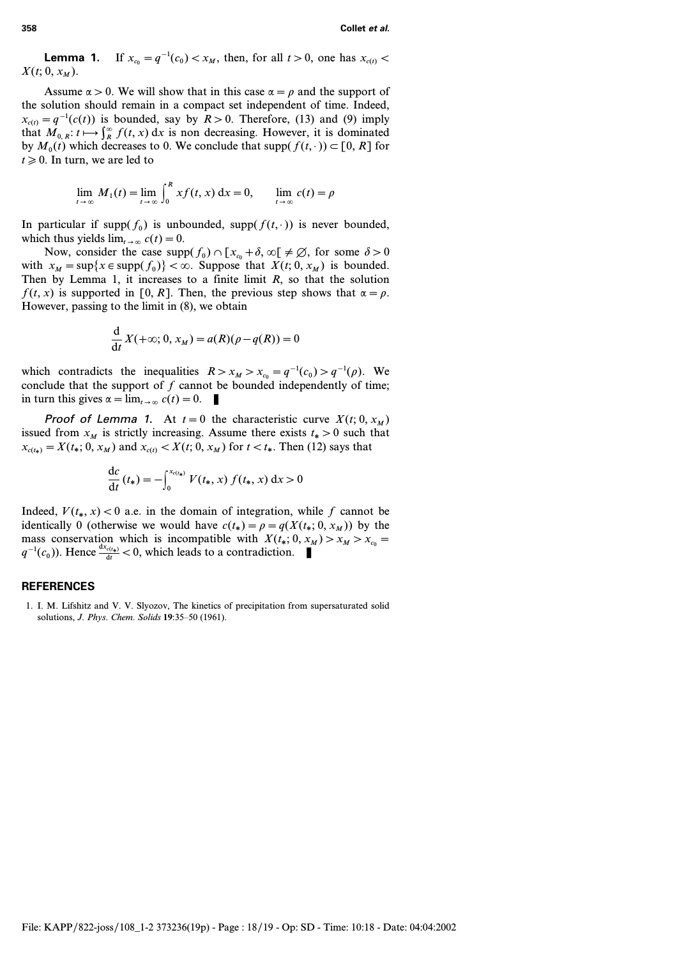**Lemma 1.** If  $x_{c0} = q^{-1}(c_0) < x_M$ , then, for all  $t > 0$ , one has  $x_{c(t)} <$  $X(t; 0, x_M)$ .

Assume  $\alpha > 0$ . We will show that in this case  $\alpha = \rho$  and the support of the solution should remain in a compact set independent of time. Indeed,  $x_{c(t)} = q^{-1}(c(t))$  is bounded, say by  $R > 0$ . Therefore, (13) and (9) imply that  $M_{0,R}$ :  $t \mapsto \int_R^{\infty} f(t, x) dx$  is non decreasing. However, it is dominated by  $M_0(t)$  which decreases to 0. We conclude that supp $(f(t, \cdot)) \subset [0, R]$  for  $t \geq 0$ . In turn, we are led to

$$
\lim_{t \to \infty} M_1(t) = \lim_{t \to \infty} \int_0^R x f(t, x) dx = 0, \qquad \lim_{t \to \infty} c(t) = \rho
$$

In particular if supp $(f_0)$  is unbounded, supp $(f(t, \cdot))$  is never bounded, which thus yields  $\lim_{t\to\infty} c(t)=0$ .

Now, consider the case  $\text{supp}(f_0) \cap [x_{c_0} + \delta, \infty) \neq \emptyset$ , for some  $\delta > 0$ with  $x_M = \sup\{x \in \text{supp}(f_0)\} < \infty$ . Suppose that  $X(t; 0, x_M)$  is bounded. Then by Lemma 1, it increases to a finite limit *R*, so that the solution *f*(*t*, *x*) is supported in [0, R]. Then, the previous step shows that  $\alpha = \rho$ . However, passing to the limit in (8), we obtain

$$
\frac{\mathrm{d}}{\mathrm{d}t}X(+\infty; 0, x_M) = a(R)(\rho - q(R)) = 0
$$

which contradicts the inequalities  $R > x_M > x_c = q^{-1}(c_0) > q^{-1}(\rho)$ . We conclude that the support of *f* cannot be bounded independently of time; in turn this gives  $\alpha = \lim_{t \to \infty} c(t) = 0$ .

**Proof of Lemma 1.** At  $t=0$  the characteristic curve  $X(t; 0, x_M)$ issued from  $x_M$  is strictly increasing. Assume there exists  $t_* > 0$  such that  $x_{c(t_*)} = X(t_*)$ ,  $x_M$  and  $x_{c(t)} < X(t; 0, x_M)$  for  $t < t_*$ . Then (12) says that

$$
\frac{dc}{dt}(t_*) = -\int_0^{x_{c(t_*)}} V(t_*, x) f(t_*, x) dx > 0
$$

Indeed,  $V(t_*, x) < 0$  a.e. in the domain of integration, while f cannot be identically 0 (otherwise we would have  $c(t_*) = \rho = q(X(t_*), x_M)$ ) by the mass conservation which is incompatible with  $X(t_*)$ ,  $0, x_M > x_{c_0}$ *q*<sup>-1</sup>(*c*<sub>0</sub>)). Hence  $\frac{dx_{c(t_*)}}{dt}$  < 0, which leads to a contradiction. ■

#### **REFERENCES**

1. I. M. Lifshitz and V. V. Slyozov, The kinetics of precipitation from supersaturated solid solutions, *J. Phys. Chem. Solids* **19**:35–50 (1961).